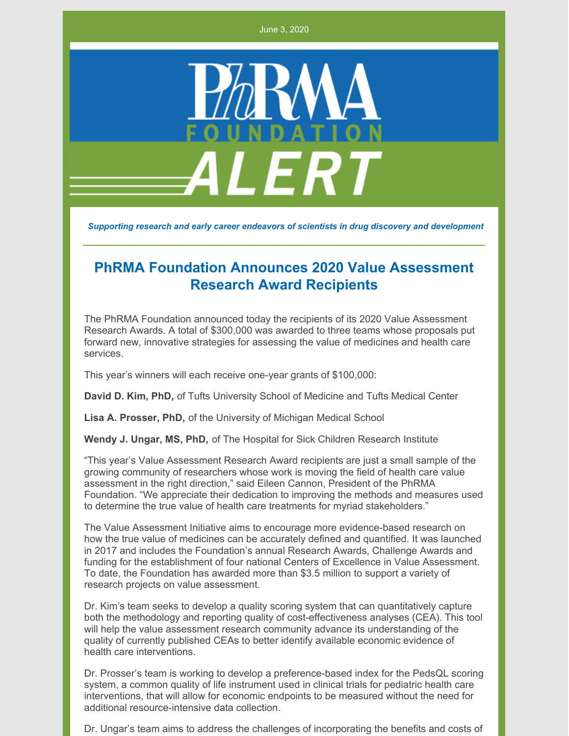June 3, 2020



*Supporting research and early career endeavors of scientists in drug discovery and development*

## **PhRMA Foundation Announces 2020 Value Assessment Research Award Recipients**

The PhRMA Foundation announced today the recipients of its 2020 Value Assessment Research Awards. A total of \$300,000 was awarded to three teams whose proposals put forward new, innovative strategies for assessing the value of medicines and health care services.

This year's winners will each receive one-year grants of \$100,000:

**David D. Kim, PhD,** of Tufts University School of Medicine and Tufts Medical Center

**Lisa A. Prosser, PhD,** of the University of Michigan Medical School

**Wendy J. Ungar, MS, PhD,** of The Hospital for Sick Children Research Institute

"This year's Value Assessment Research Award recipients are just a small sample of the growing community of researchers whose work is moving the field of health care value assessment in the right direction," said Eileen Cannon, President of the PhRMA Foundation. "We appreciate their dedication to improving the methods and measures used to determine the true value of health care treatments for myriad stakeholders."

The Value Assessment Initiative aims to encourage more evidence-based research on how the true value of medicines can be accurately defined and quantified. It was launched in 2017 and includes the Foundation's annual Research Awards, Challenge Awards and funding for the establishment of four national Centers of Excellence in Value Assessment. To date, the Foundation has awarded more than \$3.5 million to support a variety of research projects on value assessment.

Dr. Kim's team seeks to develop a quality scoring system that can quantitatively capture both the methodology and reporting quality of cost-effectiveness analyses (CEA). This tool will help the value assessment research community advance its understanding of the quality of currently published CEAs to better identify available economic evidence of health care interventions.

Dr. Prosser's team is working to develop a preference-based index for the PedsQL scoring system, a common quality of life instrument used in clinical trials for pediatric health care interventions, that will allow for economic endpoints to be measured without the need for additional resource-intensive data collection.

Dr. Ungar's team aims to address the challenges of incorporating the benefits and costs of